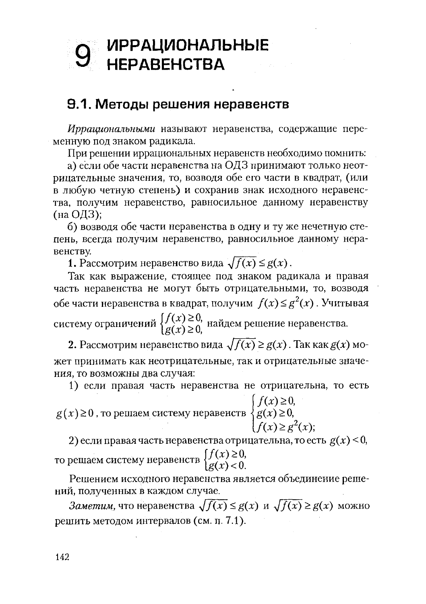# **ИРРАЦИОНАЛЬНЫЕ НЕРАВЕНСТВА**

# 9.1. Методы решения неравенств

Иррациональными называют неравенства, содержащие переменную под знаком радикала.

При решении иррациональных неравенств необходимо помнить:

а) если обе части неравенства на ОДЗ принимают только неотрицательные значения, то, возводя обе его части в квадрат, (или в любую четную степень) и сохранив знак исходного неравенства, получим неравенство, равносильное данному неравенству (на ОДЗ);

б) возводя обе части неравенства в одну и ту же нечетную степень, всегда получим неравенство, равносильное данному неравенству.

1. Рассмотрим неравенство вида  $\sqrt{f(x)} \leq g(x)$ .

Так как выражение, стоящее под знаком радикала и правая часть неравенства не могут быть отрицательными, то, возводя обе части неравенства в квадрат, получим  $f(x) \leq g^2(x)$ . Учитывая

систему ограничений  $\begin{cases} f(x) \geq 0, \\ g(x) \geq 0, \end{cases}$ найдем решение неравенства.

2. Рассмотрим неравенство вида  $\sqrt{f(x)} \geq g(x)$ . Так как  $g(x)$  может принимать как неотрицательные, так и отрицательные значения, то возможны два случая:

1) если правая часть неравенства не отрицательна, то есть  $g(x) \ge 0$ , то решаем систему неравенств  $\begin{cases} f(x) \ge 0, \\ g(x) \ge 0, \\ f(x) \ge g^2(x); \end{cases}$ 

2) если правая часть неравенства отрицательна, то есть  $g(x) < 0$ , то решаем систему неравенств  $\begin{cases} f(x) \geq 0, \\ g(x) < 0. \end{cases}$ 

Решением исходного неравенства является объединение решений, полученных в каждом случае.

Заметим, что неравенства  $\sqrt{f(x)} \leq g(x)$  и  $\sqrt{f(x)} \geq g(x)$  можно решить методом интервалов (см. п. 7.1).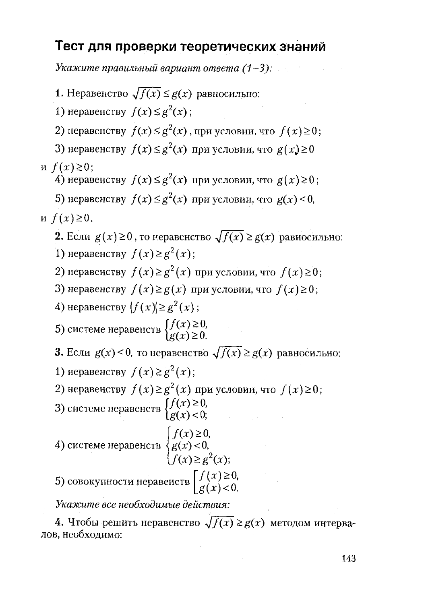# Тест для проверки теоретических знаний

Укажите правильный вариант ответа (1-3):

**1.** Неравенство  $\sqrt{f(x)}$  ≤  $g(x)$  равносильно:

1) неравенству  $f(x) \leq g^2(x)$ ;

2) неравенству  $f(x) \leq g^2(x)$ , при условии, что  $f(x) \geq 0$ ;

3) неравенству  $f(x)$ ≤  $g^2(x)$  при условии, что  $g(x) \ge 0$ 

### $\text{H} f(x) \geq 0$ ;

4) неравенству  $f(x)$  ≤  $g^2(x)$  при условии, что  $g(x) \ge 0$ ;

5) неравенству  $f(x)$ ≤  $g^2(x)$  при условии, что  $g(x)$  < 0,

$$
H f(x) \geq 0.
$$

2. Если  $g(x) \ge 0$ , то неравенство  $\sqrt{f(x)} \ge g(x)$  равносильно: 1) неравенству  $f(x) \geq g^2(x)$ ;

- 2) неравенству  $f(x) \geq g^2(x)$  при условии, что  $f(x) \geq 0$ ;
- 3) неравенству  $f(x) \ge g(x)$  при условии, что  $f(x) \ge 0$ ;

4) неравенству  $|f(x)| \geq g^2(x)$ ;

5) системе неравенств  $\begin{cases} f(x) \ge 0, \\ g(x) \ge 0. \end{cases}$ 

**3.** Если  $g(x) < 0$ , то неравенство  $\sqrt{f(x)} \ge g(x)$  равносильно:

1) неравенству  $f(x) \geq g^2(x)$ ;

2) неравенству  $f(x) \geq g^2(x)$  при условии, что  $f(x) \geq 0$ ;

3) системе неравенств  $\begin{cases} f(x) \ge 0, \\ g(x) < 0, \end{cases}$ 

4) **CUTE** Hepabenter **B** 
$$
\begin{cases} f(x) \ge 0, \\ g(x) < 0, \\ f(x) \ge g^2(x); \end{cases}
$$

5) совокупности неравенств  $\begin{cases} f(x) \geq 0, \\ g(x) < 0. \end{cases}$ 

Укажите все необходимые действия:

4. Чтобы решить неравенство  $\sqrt{f(x)} \geq g(x)$  методом интервалов, необходимо: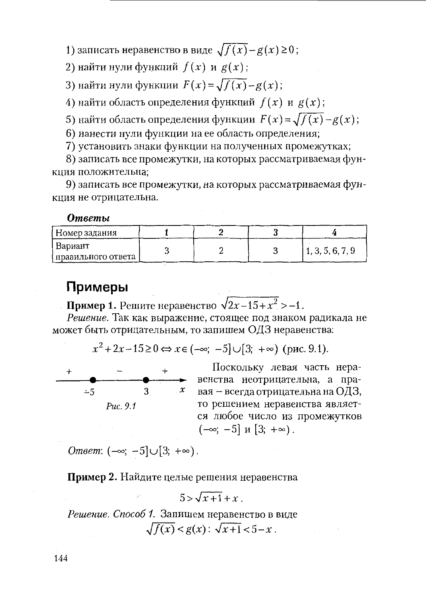1) записать неравенство в виде  $\sqrt{f(x)} - g(x) \ge 0$ ;

2) найти нули функций  $f(x)$  и  $g(x)$ ;

3) найти нули функции  $F(x) = \sqrt{f(x)} - g(x)$ ;

4) найти область определения функций  $f(x)$  и  $g(x)$ ;

5) найти область определения функции  $F(x) = \sqrt{f(x)} - g(x)$ ;

6) нанести нули функции на ее область определения;

7) установить знаки функции на полученных промежутках;

8) записать все промежутки, на которых рассматриваемая функция положительна;

9) записать все промежутки, на которых рассматриваемая функция не отрицательна.

#### Ответы

| I Номер задания               |  |                  |  |
|-------------------------------|--|------------------|--|
| Вариант<br>нравильного ответа |  | 1, 3, 5, 6, 7, 9 |  |

# Примеры

**Пример 1.** Решите неравенство  $\sqrt{2x-15+x^2}$  > -1.

Решение. Так как выражение, стоящее под знаком радикала не может быть отрицательным, то запишем ОДЗ неравенства:

$$
x^2 + 2x - 15 \ge 0 \Leftrightarrow x \in (-\infty; -5] \cup [3; +\infty)
$$
 (pnc. 9.1).

 $-5$  $\mathbf{3}$ Puc. 9.1

Поскольку левая часть неравенства неотрицательна, а пра $x$  вая – всегда отрицательна на ОДЗ, то решением неравенства является любое число из промежутков  $(-\infty; -5]$   $\mu$   $[3; +\infty)$ .

*Omsem*:  $(-\infty; -5] \cup [3; +\infty)$ .

Пример 2. Найдите целые решения неравенства

 $5 > \sqrt{x+1} + x$ 

Решение. Способ 1. Запишем неравенство в виде  $\sqrt{f(x)} < g(x)$ :  $\sqrt{x+1} < 5-x$ .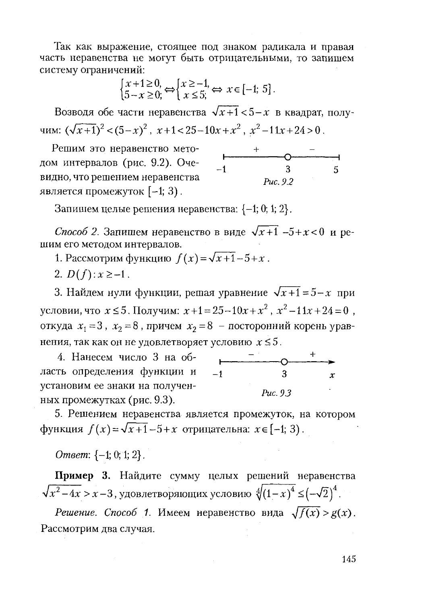Так как выражение, стоящее под знаком радикала и правая часть неравенства не могут быть отрицательными, то запишем систему ограничений:

$$
\begin{cases} x+1 \ge 0, \\ 5-x \ge 0 \end{cases} \Longleftrightarrow \begin{cases} x \ge -1, \\ x \le 5 \end{cases} \Longleftrightarrow x \in [-1; 5].
$$

Возводя обе части неравенства  $\sqrt{x+1} < 5-x$  в квадрат, получим:  $(\sqrt{x+1})^2 < (5-x)^2$ ,  $x+1 < 25-10x+x^2$ ,  $x^2-11x+24>0$ .

Решим это неравенство методом интервалов (рис. 9.2). Оче- $\frac{8}{3}$ видно, что решением неравенства  $p_{\mu}$  92 является промежуток [-1; 3).

Запишем целые решения неравенства:  $\{-1, 0, 1, 2\}$ .

Способ 2. Запишем неравенство в виде  $\sqrt{x+1}$  -5+ $x$ <0 и решим его методом интервалов.

- 1. Рассмотрим функцию  $f(x) = \sqrt{x+1} 5 + x$ .
- 2.  $D(f): x \ge -1$ .

3. Найдем нули функции, решая уравнение  $\sqrt{x+1} = 5-x$  при условии, что  $x \le 5$ . Получим:  $x+1=25-10x+x^2$ ,  $x^2-11x+24=0$ , откуда  $x_1 = 3$ ,  $x_2 = 8$ , причем  $x_2 = 8$  – посторонний корень уравнения, так как он не удовлетворяет условию  $x \leq 5$ .



5. Решением неравенства является промежуток, на котором функция  $f(x) = \sqrt{x+1} - 5 + x$  отрицательна:  $x \in [-1, 3)$ .

*Omeem*:  $\{-1, 0, 1, 2\}$ .

Пример 3. Найдите сумму целых решений неравенства  $\sqrt{x^2-4x} > x-3$ , удовлетворяющих условию  $\sqrt[4]{(1-x)^4} \leq (-\sqrt{2})^4$ .

Решение. Способ 1. Имеем неравенство вида  $\sqrt{f(x)} > g(x)$ . Рассмотрим два случая.

 $\overline{\phantom{0}}$  5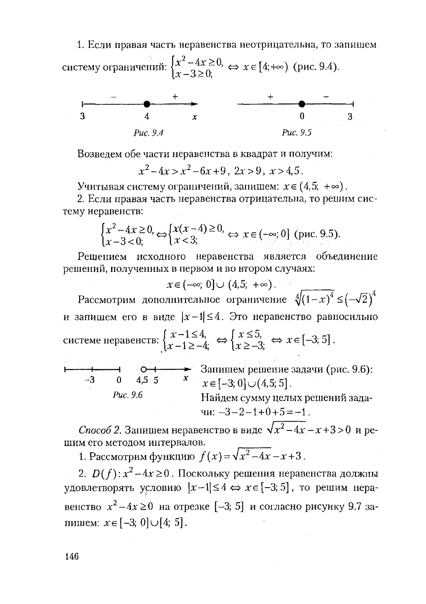1. Если правая часть неравенства неотрицательна, то запишем систему ограничений:  $\begin{cases} x^2 - 4x \ge 0, \\ x - 3 > 0 \end{cases}$  ⇔  $x \in [4, +\infty)$  (рис. 9.4).



Возведем обе части неравенства в квадрат и получим:

 $x^2-4x > x^2-6x+9$ ,  $2x > 9$ ,  $x > 4.5$ .

Учитывая систему ограничений, запишем:  $x \in (4,5; +\infty)$ .

2. Если правая часть неравенства отрицательна, то решим систему неравенств:

$$
\begin{cases} x^2 - 4x \ge 0, \\ x - 3 < 0 \end{cases} \Leftrightarrow \begin{cases} x(x - 4) \ge 0, \\ x < 3 \end{cases} \Leftrightarrow x \in (-\infty; 0] \text{ (pnc. 9.5)}.
$$

Рещением исходного неравенства является объединение решений, полученных в первом и во втором случаях:

 $x \in (-\infty; 0] \cup (4,5; +\infty)$ .

Рассмотрим дополнительное ограничение  $\sqrt[4]{(1-x)^4} \leq (-\sqrt{2})^4$ и запишем его в виде  $|x-1| \le 4$ . Это неравенство равносильно системе неравенств:  $\begin{cases} x-1 \leq 4, \\ x-1 \geq -4; \end{cases} \Leftrightarrow \begin{cases} x \leq 5, \\ x \geq -3; \end{cases} \Leftrightarrow x \in [-3, 5].$ 

 $\begin{array}{ccc}\n\mathbf{a} & \mathbf{b} \\
\mathbf{c} & 4.5 & 5\n\end{array}$  3 запишем решение задачи (рис. 9.6): Puc. 9.6

Найдем сумму целых решений зада- $4\mu$ :  $-3-2-1+0+5=-1$ .

Способ 2. Запишем неравенство в виде  $\sqrt{x^2-4x} - x + 3 > 0$  и решим его методом интервалов.

1. Рассмотрим функцию  $f(x) = \sqrt{x^2 - 4x} - x + 3$ .

2. *D*(*f*):  $x^2 - 4x \ge 0$ . Поскольку решения неравенства должны удовлетворять условию  $|x-1| \le 4 \Leftrightarrow x \in [-3, 5]$ , то решим неравенство  $x^2 - 4x \ge 0$  на отрезке [-3, 5] и согласно рисунку 9.7 запишем:  $x \in [-3, 0] \cup [4, 5]$ .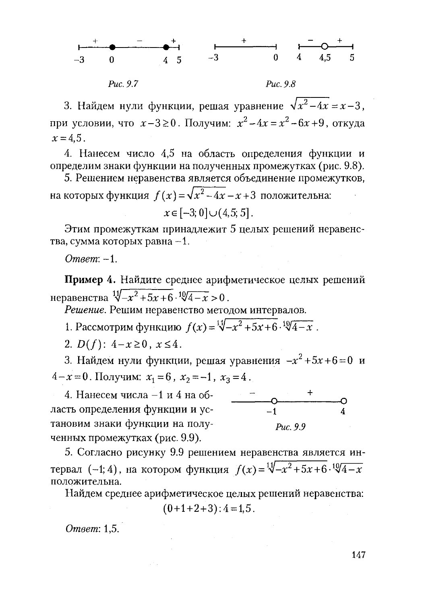

Puc. 9.7

Puc. 9.8

3. Найдем нули функции, решая уравнение  $\sqrt{x^2-4x} = x-3$ . при условии, что  $x-3 \ge 0$ . Получим:  $x^2-4x = x^2-6x+9$ , откуда  $x = 4.5$ .

4. Нанесем число 4,5 на область определения функции и определим знаки функции на полученных промежутках (рис. 9.8).

5. Решением неравенства является объединение промежутков, на которых функция  $f(x) = \sqrt{x^2-4x} - x + 3$  положительна:

$$
x \in [-3, 0] \cup (4, 5; 5].
$$

Этим промежуткам принадлежит 5 целых рещений неравенства, сумма которых равна -1.

Ответ: -1.

Пример 4. Найдите среднее арифметическое целых решений неравенства  $\sqrt[1]{-x^2+5x+6} \cdot \sqrt[10]{4-x} > 0$ .

Решение. Решим неравенство методом интервалов.

1. Рассмотрим функцию  $f(x) = \sqrt[1]{-x^2 + 5x + 6} \cdot \sqrt[10]{4-x}$ .

2.  $D(f)$ :  $4-x \ge 0$ ,  $x \le 4$ .

3. Найдем нули функции, решая уравнения  $-x^2+5x+6=0$  и 4- $x=0$ . Получим:  $x_1=6$ ,  $x_2=-1$ ,  $x_3=4$ .

4. Нанесем числа -1 и 4 на область определения функции и установим знаки функции на полу-Puc. 9.9 ченных промежутках (рис. 9.9).

5. Согласно рисунку 9.9 решением неравенства является интервал (-1,4), на котором функция  $f(x) = \sqrt[1]{-x^2+5x+6} \cdot \sqrt[10]{4-x^2}$ положительна.

Найдем среднее арифметическое целых решений неравенства:

 $(0+1+2+3): 4=1,5$ .

Ответ: 1,5.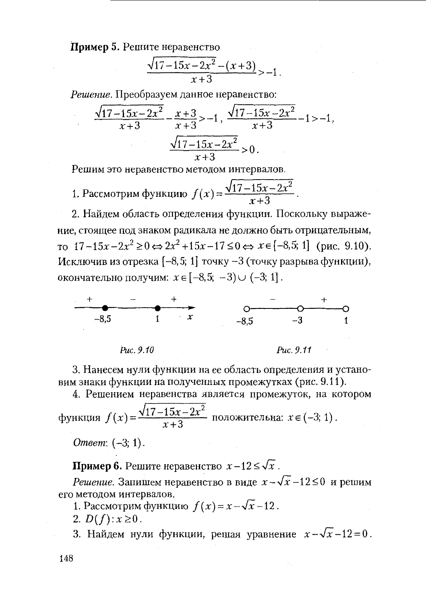Пример 5. Решите неравенство

$$
\frac{\sqrt{17-15x-2x^2-(x+3)}}{x+3} > -1.
$$

Решение. Преобразуем данное неравенство:

$$
\frac{\sqrt{17-15x-2x^2}}{x+3} - \frac{x+3}{x+3} > -1, \quad \frac{\sqrt{17-15x-2x^2}}{x+3} - 1 > -1, \quad \frac{\sqrt{17-15x-2x^2}}{x+3} > 0.
$$

Решим это неравенство методом интервалов.

1. Рассмотрим функцию  $f(x) = \frac{\sqrt{17-15x-2x^2}}{x+3}$ .

2. Найдем область определения функции. Поскольку выражение, стоящее под знаком радикала не должно быть отрицательным, To  $17-15x-2x^2 \ge 0 \Leftrightarrow 2x^2+15x-17 \le 0 \Leftrightarrow x \in [-8,5; 1]$  (puc. 9.10). Исключив из отрезка [-8,5; 1] точку -3 (точку разрыва функции), окончательно получим:  $x \in [-8, 5, -3) \cup (-3, 1]$ .



3. Нанесем нули функции на ее область определения и установим знаки функции на полученных промежутках (рис. 9.11).

4. Решением неравенства является промежуток, на котором

функция  $f(x) = \frac{\sqrt{17-15x-2x^2}}{x+3}$  положительна:  $x \in (-3, 1)$ .

*Omeem*:  $(-3; 1)$ .

**Пример 6.** Решите неравенство  $x-12 \leq \sqrt{x}$ .

*Решение*. Запишем неравенство в виде  $x - \sqrt{x} - 12 \le 0$  и решим его методом интервалов.

1. Рассмотрим функцию  $f(x) = x - \sqrt{x-12}$ .

2.  $D(f): x \ge 0$ .

3. Найдем нули функции, решая уравнение  $x - \sqrt{x} - 12 = 0$ .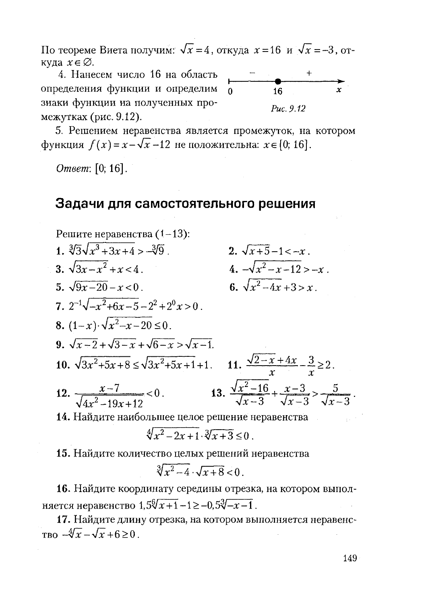По теореме Виета получим:  $\sqrt{x} = 4$ , откуда  $x = 16$  и  $\sqrt{x} = -3$ , откуда  $x \in \emptyset$ .

 $\Omega$ 

4. Нанесем число 16 на область определения функции и определим знаки функции на полученных промежутках (рис. 9.12).



5. Решением неравенства является промежуток, на котором функция  $f(x) = x - \sqrt{x} - 12$  не положительна:  $x \in [0, 16]$ .

Ответ: [0, 16].

### Задачи для самостоятельного решения

Periance Hepabenterba (1-13):  
\n1. 
$$
\sqrt[3]{3}\sqrt{x^3+3x+4} > -\sqrt[3]{9}
$$
.  
\n2.  $\sqrt{x+5}-1 < -x$ .  
\n3.  $\sqrt{3x-x^2} + x < 4$ .  
\n4.  $-\sqrt{x^2-x-12} > -x$ .  
\n5.  $\sqrt{9x-20} - x < 0$ .  
\n6.  $\sqrt{x^2-4x} +3 > x$ .  
\n7.  $2^{-1}\sqrt{-x^2+6x-5}-2^2+2^0x > 0$ .  
\n8.  $(1-x) \cdot \sqrt{x^2-x-20} \le 0$ .  
\n9.  $\sqrt{x-2} + \sqrt{3-x} + \sqrt{6-x} > \sqrt{x-1}$ .  
\n10.  $\sqrt{3x^2+5x+8} ≤ \sqrt{3x^2+5x+1} +1$ .  
\n11.  $\frac{\sqrt{2-x}+4x}{x} - \frac{3}{x} ≥ 2$ .  
\n12.  $\frac{x-7}{\sqrt{4x^2-19x+12}} < 0$ .  
\n13.  $\frac{\sqrt{x^2-16}}{\sqrt{x-3}} + \frac{x-3}{\sqrt{x-3}} > \frac{5}{\sqrt{x-3}}$ .  
\n14. Haйдите наиболыше целое решение неравенства  
\n $\sqrt[4]{x^2-2x+1} \cdot \sqrt[3]{x+3} < 0$ .

$$
\sqrt[3]{x^2-4}\cdot\sqrt{x+8}<0\,.
$$

16. Найдите координату середины отрезка, на котором выполняется неравенство  $1,5\sqrt[6]{x+1} - 1 \ge -0.5\sqrt[3]{-x-1}$ .

17. Найдите длину отрезка, на котором выполняется неравенс-TBO  $-\sqrt[4]{x} - \sqrt{x} + 6 \ge 0$ .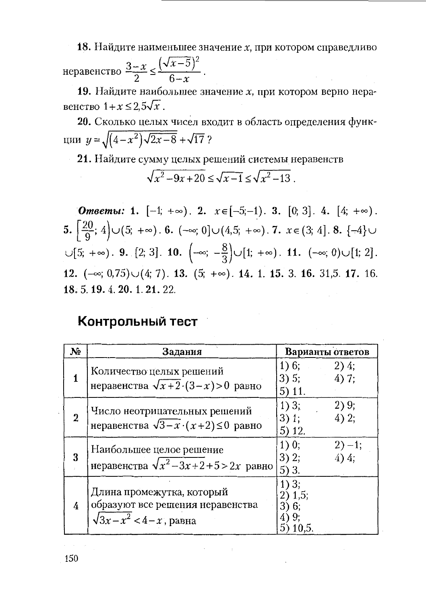18. Найдите наименьшее значение  $x$ , при котором справедливо

неравенство  $\frac{3-x}{2} \leq \frac{(\sqrt{x-5})^2}{6-x}$ .

19. Найдите наибольшее значение х, при котором верно неравенство  $1+x \leq 2.5\sqrt{x}$ .

20. Сколько целых чисел входит в область определения функции  $y = \sqrt{(4-x^2)\sqrt{2x-8}} + \sqrt{17}$ ?

21. Найдите сумму целых решений системы неравенств

$$
\sqrt{x^2 - 9x + 20} \le \sqrt{x - 1} \le \sqrt{x^2 - 13}
$$

**Omsembi:** 1.  $[-1, +\infty)$ . 2.  $x \in [-5, -1)$ . 3.  $[0, 3]$ . 4.  $[4, +\infty)$ . 5.  $\left[\frac{20}{9}; 4\right] \cup (5; +\infty)$ . 6.  $(-\infty; 0] \cup (4,5; +\infty)$ . 7.  $x \in (3; 4]$ . 8.  $\{-4\} \cup$  $\bigcup [5; +\infty)$ . 9. [2; 3]. 10.  $\left(-\infty; -\frac{8}{3}\right) \bigcup [1; +\infty)$ . 11.  $\left(-\infty; 0\right) \bigcup [1; 2]$ . 12.  $(-\infty, 0.75) \cup (4, 7)$ . 13.  $(5, +\infty)$ . 14. 1. 15. 3. 16. 31,5. 17. 16. 18.5.19.4.20.1.21.22.

# Контрольный тест

| No          | Задания                                                                                                 | Варианты ответов                                |  |  |  |
|-------------|---------------------------------------------------------------------------------------------------------|-------------------------------------------------|--|--|--|
| 1           | Количество целых решений<br>неравенства $\sqrt{x+2} \cdot (3-x) > 0$ равно                              | 1)6;<br>$2)$ 4;<br>3) 5;<br>4)7;<br>5) 11.      |  |  |  |
| $\mathbf 2$ | Число неотрицательных решений<br>неравенства $\sqrt{3-x}$ (x+2)≤0 равно                                 | $(1)$ 3;<br>2) 9;<br>3) 1;<br>$4)$ 2;<br>5) 12. |  |  |  |
| 3           | Наибольшее целое решение<br>неравенства $\sqrt{x^2-3x+2}$ +5>2x равно                                   | 1)0;<br>$2) - 1;$<br>3) 2;<br>4)4;<br>5) 3.     |  |  |  |
| 4           | Длина промежутка, который<br>образуют все решения неравенства<br>$\sqrt{3x-x^2}$ < 4 – <i>х</i> , равна | 1) 3;<br>2) 1,5;<br>6:<br>10.5.                 |  |  |  |

150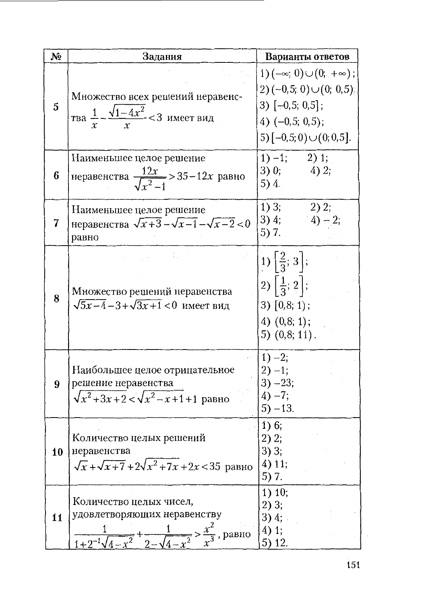| N <sub>2</sub>  | Задания                                                                                                                                         | Варианты ответов                                                                                                                                     |  |  |  |
|-----------------|-------------------------------------------------------------------------------------------------------------------------------------------------|------------------------------------------------------------------------------------------------------------------------------------------------------|--|--|--|
| $\mathbf{5}$    | Множество всех решений неравенс-<br>тва $\frac{1}{x} - \frac{\sqrt{1-4x^2}}{x} < 3$ имеет вид                                                   | 1) $(-\infty, 0) \cup (0, +\infty)$ ;<br>$2(-0.5; 0) \cup (0; 0.5)$<br>$3)$ $[-0,5; 0,5]$ ;<br>4) $(-0.5; 0.5)$ ;<br>$5)$ [-0,5; 0) $\cup$ (0; 0,5]. |  |  |  |
| 6               | Наименьшее целое решение<br>неравенства $\frac{12x}{\sqrt{x^2-1}} > 35-12x$ равно                                                               | $1) -1;$ 2) 1;<br>3)0;<br>$4)$ 2;<br>5) 4.                                                                                                           |  |  |  |
| 7               | Наименьшее целое решение<br>неравенства $\sqrt{x+3} - \sqrt{x-1} - \sqrt{x-2} < 0$<br>равно                                                     | $1)$ 3;<br>2) 2;<br>3)4;<br>$(4) - 2;$<br>5) 7.                                                                                                      |  |  |  |
| 8               | Множество решений неравенства<br>$\sqrt{5x-4} - 3 + \sqrt{3x+1} < 0$ имеет вид                                                                  | 1) $\left[\frac{2}{3}; 3\right]$ ;<br>2) $\left[\frac{1}{3}; 2\right]$ ;<br>$3)$ $[0,8; 1);$<br>$4)$ $(0,8; 1);$<br>5) $(0,8;11)$ .                  |  |  |  |
| 9               | Наибольшее целое отрицательное<br>решение неравенства<br>$\sqrt{x^2+3x+2} < \sqrt{x^2-x+1}$ +1 равно                                            | $1) -2;$<br>$2) - 1;$<br>$3) - 23;$<br>$4) - 7;$<br>$5) - 13.$                                                                                       |  |  |  |
| 10 <sup>1</sup> | Количество целых решений<br>неравенства<br>$\sqrt{x} + \sqrt{x+7} + 2\sqrt{x^2 + 7x} + 2x < 35$ равно                                           | 1)6;<br>2) 2;<br>3) 3;<br>4) 11;<br>5)7.                                                                                                             |  |  |  |
| 11              | Количество целых чисел,<br>удовлетворяющих неравенству<br>$\frac{1}{1+2^{-1}\sqrt{4-x^2}} + \frac{1}{2-\sqrt{4-x^2}} > \frac{x^2}{x^3}$ , равно | 1) 10;<br>$2)$ 3;<br>3)4;<br>$4)$ 1;<br>5) 12.                                                                                                       |  |  |  |